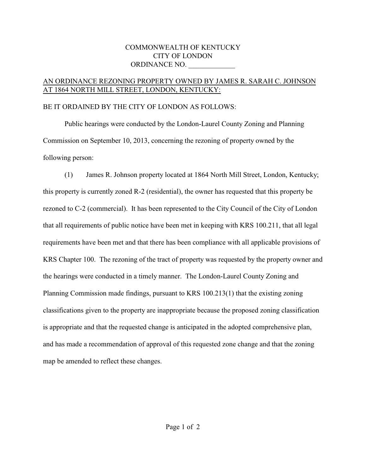## COMMONWEALTH OF KENTUCKY CITY OF LONDON ORDINANCE NO.

## AN ORDINANCE REZONING PROPERTY OWNED BY JAMES R. SARAH C. JOHNSON AT 1864 NORTH MILL STREET, LONDON, KENTUCKY:

## BE IT ORDAINED BY THE CITY OF LONDON AS FOLLOWS:

Public hearings were conducted by the London-Laurel County Zoning and Planning Commission on September 10, 2013, concerning the rezoning of property owned by the following person:

(1) James R. Johnson property located at 1864 North Mill Street, London, Kentucky; this property is currently zoned R-2 (residential), the owner has requested that this property be rezoned to C-2 (commercial). It has been represented to the City Council of the City of London that all requirements of public notice have been met in keeping with KRS 100.211, that all legal requirements have been met and that there has been compliance with all applicable provisions of KRS Chapter 100. The rezoning of the tract of property was requested by the property owner and the hearings were conducted in a timely manner. The London-Laurel County Zoning and Planning Commission made findings, pursuant to KRS 100.213(1) that the existing zoning classifications given to the property are inappropriate because the proposed zoning classification is appropriate and that the requested change is anticipated in the adopted comprehensive plan, and has made a recommendation of approval of this requested zone change and that the zoning map be amended to reflect these changes.